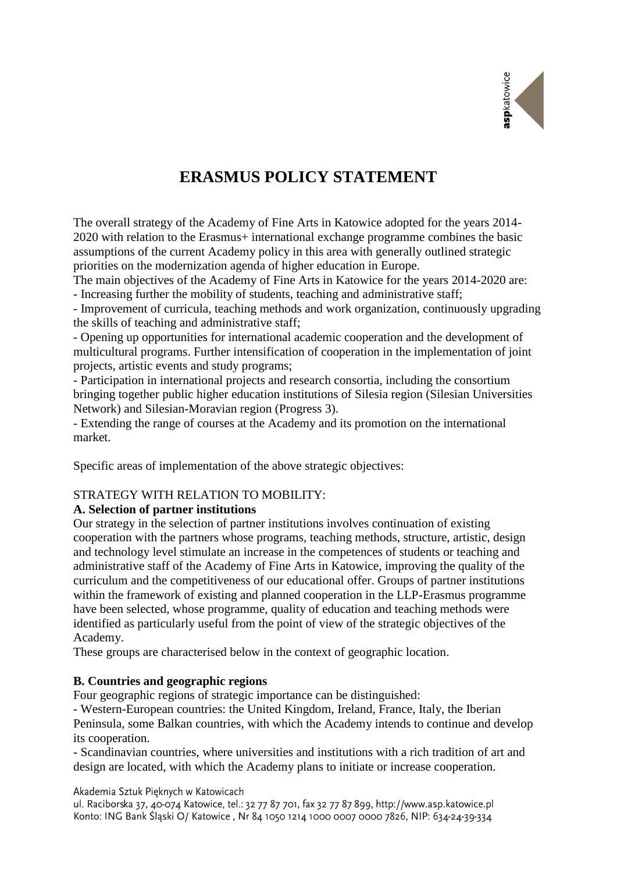

# **ERASMUS POLICY STATEMENT**

The overall strategy of the Academy of Fine Arts in Katowice adopted for the years 2014- 2020 with relation to the Erasmus+ international exchange programme combines the basic assumptions of the current Academy policy in this area with generally outlined strategic priorities on the modernization agenda of higher education in Europe.

The main objectives of the Academy of Fine Arts in Katowice for the years 2014-2020 are: - Increasing further the mobility of students, teaching and administrative staff;

- Improvement of curricula, teaching methods and work organization, continuously upgrading the skills of teaching and administrative staff;

- Opening up opportunities for international academic cooperation and the development of multicultural programs. Further intensification of cooperation in the implementation of joint projects, artistic events and study programs;

- Participation in international projects and research consortia, including the consortium bringing together public higher education institutions of Silesia region (Silesian Universities Network) and Silesian-Moravian region (Progress 3).

- Extending the range of courses at the Academy and its promotion on the international market.

Specific areas of implementation of the above strategic objectives:

## STRATEGY WITH RELATION TO MOBILITY:

## **A. Selection of partner institutions**

Our strategy in the selection of partner institutions involves continuation of existing cooperation with the partners whose programs, teaching methods, structure, artistic, design and technology level stimulate an increase in the competences of students or teaching and administrative staff of the Academy of Fine Arts in Katowice, improving the quality of the curriculum and the competitiveness of our educational offer. Groups of partner institutions within the framework of existing and planned cooperation in the LLP-Erasmus programme have been selected, whose programme, quality of education and teaching methods were identified as particularly useful from the point of view of the strategic objectives of the Academy.

These groups are characterised below in the context of geographic location.

## **B. Countries and geographic regions**

Four geographic regions of strategic importance can be distinguished:

- Western-European countries: the United Kingdom, Ireland, France, Italy, the Iberian Peninsula, some Balkan countries, with which the Academy intends to continue and develop its cooperation.

- Scandinavian countries, where universities and institutions with a rich tradition of art and design are located, with which the Academy plans to initiate or increase cooperation.

Akademia Sztuk Pieknych w Katowicach

ul. Raciborska 37, 40-074 Katowice, tel.: 32 77 87 701, fax 32 77 87 899, http://www.asp.katowice.pl Konto: ING Bank Śląski O/ Katowice, Nr 84 1050 1214 1000 0007 0000 7826, NIP: 634-24-39-334